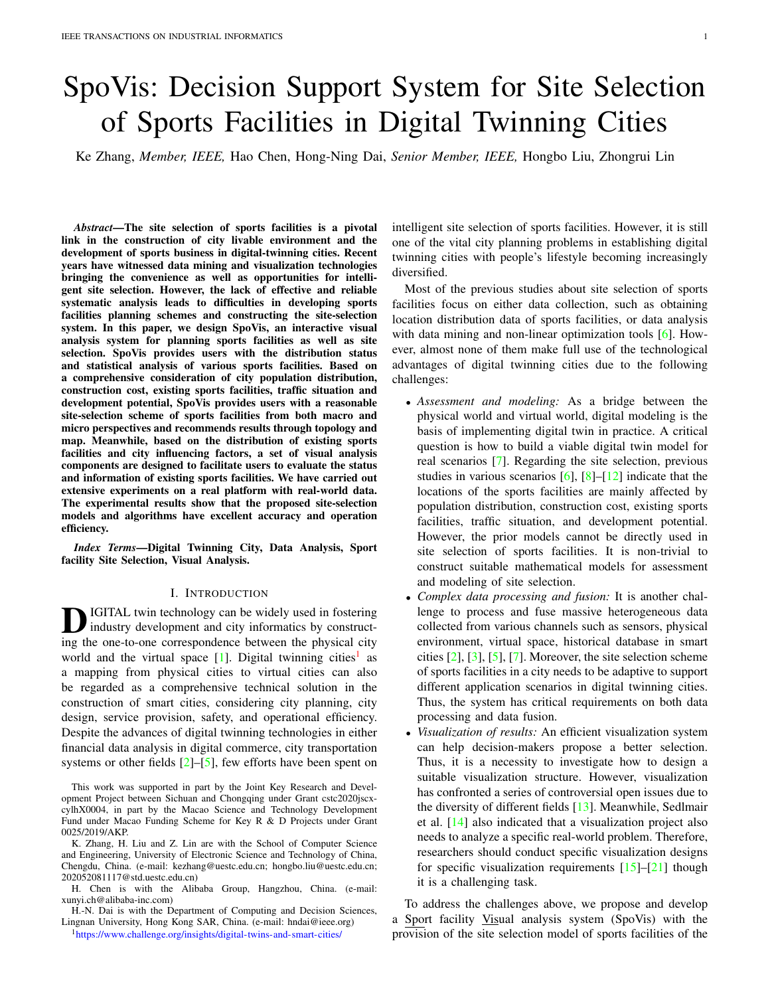# SpoVis: Decision Support System for Site Selection of Sports Facilities in Digital Twinning Cities

Ke Zhang, *Member, IEEE,* Hao Chen, Hong-Ning Dai, *Senior Member, IEEE,* Hongbo Liu, Zhongrui Lin

*Abstract*—The site selection of sports facilities is a pivotal link in the construction of city livable environment and the development of sports business in digital-twinning cities. Recent years have witnessed data mining and visualization technologies bringing the convenience as well as opportunities for intelligent site selection. However, the lack of effective and reliable systematic analysis leads to difficulties in developing sports facilities planning schemes and constructing the site-selection system. In this paper, we design SpoVis, an interactive visual analysis system for planning sports facilities as well as site selection. SpoVis provides users with the distribution status and statistical analysis of various sports facilities. Based on a comprehensive consideration of city population distribution, construction cost, existing sports facilities, traffic situation and development potential, SpoVis provides users with a reasonable site-selection scheme of sports facilities from both macro and micro perspectives and recommends results through topology and map. Meanwhile, based on the distribution of existing sports facilities and city influencing factors, a set of visual analysis components are designed to facilitate users to evaluate the status and information of existing sports facilities. We have carried out extensive experiments on a real platform with real-world data. The experimental results show that the proposed site-selection models and algorithms have excellent accuracy and operation efficiency.

*Index Terms*—Digital Twinning City, Data Analysis, Sport facility Site Selection, Visual Analysis.

#### I. INTRODUCTION

**D** IGITAL twin technology can be widely used in fostering industry development and city informatics by construct-IGITAL twin technology can be widely used in fostering ing the one-to-one correspondence between the physical city world and the virtual space [\[1\]](#page-9-0). Digital twinning cities<sup>[1](#page-0-0)</sup> as a mapping from physical cities to virtual cities can also be regarded as a comprehensive technical solution in the construction of smart cities, considering city planning, city design, service provision, safety, and operational efficiency. Despite the advances of digital twinning technologies in either financial data analysis in digital commerce, city transportation systems or other fields  $[2]-[5]$  $[2]-[5]$  $[2]-[5]$ , few efforts have been spent on

This work was supported in part by the Joint Key Research and Development Project between Sichuan and Chongqing under Grant cstc2020jscxcylhX0004, in part by the Macao Science and Technology Development Fund under Macao Funding Scheme for Key R & D Projects under Grant 0025/2019/AKP.

K. Zhang, H. Liu and Z. Lin are with the School of Computer Science and Engineering, University of Electronic Science and Technology of China, Chengdu, China. (e-mail: kezhang@uestc.edu.cn; hongbo.liu@uestc.edu.cn; 202052081117@std.uestc.edu.cn)

H. Chen is with the Alibaba Group, Hangzhou, China. (e-mail: xunyi.ch@alibaba-inc.com)

H.-N. Dai is with the Department of Computing and Decision Sciences, Lingnan University, Hong Kong SAR, China. (e-mail: hndai@ieee.org)

<span id="page-0-0"></span><sup>1</sup><https://www.challenge.org/insights/digital-twins-and-smart-cities/>

intelligent site selection of sports facilities. However, it is still one of the vital city planning problems in establishing digital twinning cities with people's lifestyle becoming increasingly diversified.

Most of the previous studies about site selection of sports facilities focus on either data collection, such as obtaining location distribution data of sports facilities, or data analysis with data mining and non-linear optimization tools [\[6\]](#page-9-3). However, almost none of them make full use of the technological advantages of digital twinning cities due to the following challenges:

- *Assessment and modeling:* As a bridge between the physical world and virtual world, digital modeling is the basis of implementing digital twin in practice. A critical question is how to build a viable digital twin model for real scenarios [\[7\]](#page-9-4). Regarding the site selection, previous studies in various scenarios  $[6]$ ,  $[8]-[12]$  $[8]-[12]$  $[8]-[12]$  indicate that the locations of the sports facilities are mainly affected by population distribution, construction cost, existing sports facilities, traffic situation, and development potential. However, the prior models cannot be directly used in site selection of sports facilities. It is non-trivial to construct suitable mathematical models for assessment and modeling of site selection.
- *Complex data processing and fusion:* It is another challenge to process and fuse massive heterogeneous data collected from various channels such as sensors, physical environment, virtual space, historical database in smart cities [\[2\]](#page-9-1), [\[3\]](#page-9-7), [\[5\]](#page-9-2), [\[7\]](#page-9-4). Moreover, the site selection scheme of sports facilities in a city needs to be adaptive to support different application scenarios in digital twinning cities. Thus, the system has critical requirements on both data processing and data fusion.
- *Visualization of results:* An efficient visualization system can help decision-makers propose a better selection. Thus, it is a necessity to investigate how to design a suitable visualization structure. However, visualization has confronted a series of controversial open issues due to the diversity of different fields [\[13\]](#page-9-8). Meanwhile, Sedlmair et al. [\[14\]](#page-9-9) also indicated that a visualization project also needs to analyze a specific real-world problem. Therefore, researchers should conduct specific visualization designs for specific visualization requirements [\[15\]](#page-9-10)–[\[21\]](#page-9-11) though it is a challenging task.

To address the challenges above, we propose and develop a Sport facility Visual analysis system (SpoVis) with the provision of the site selection model of sports facilities of the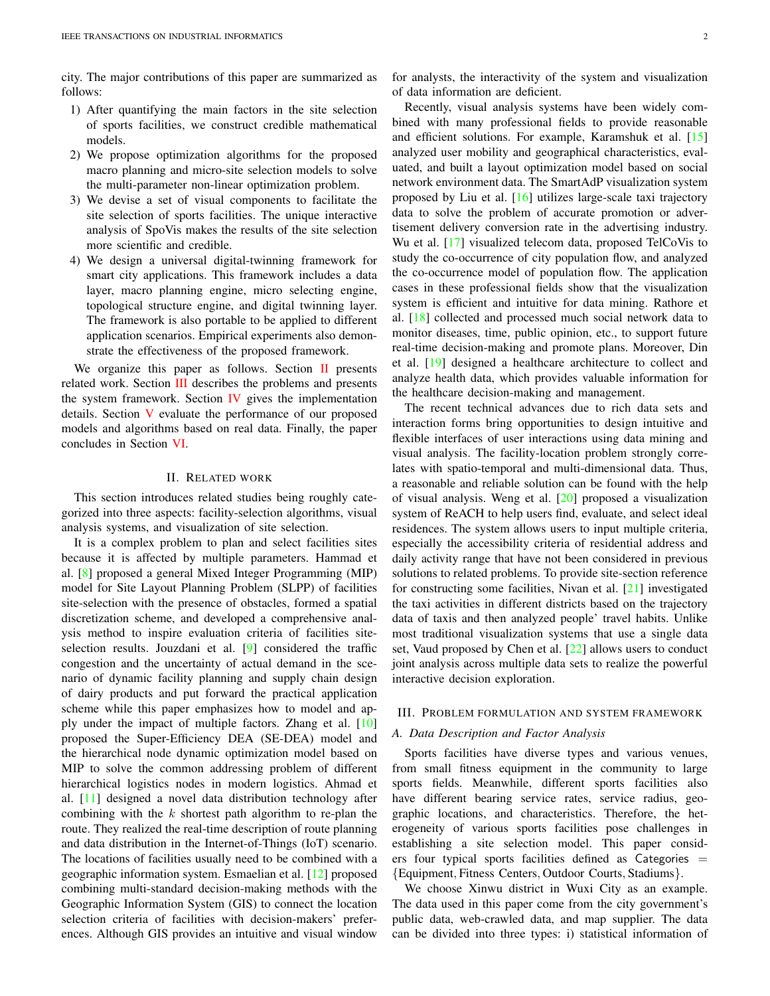city. The major contributions of this paper are summarized as follows:

- 1) After quantifying the main factors in the site selection of sports facilities, we construct credible mathematical models.
- 2) We propose optimization algorithms for the proposed macro planning and micro-site selection models to solve the multi-parameter non-linear optimization problem.
- 3) We devise a set of visual components to facilitate the site selection of sports facilities. The unique interactive analysis of SpoVis makes the results of the site selection more scientific and credible.
- 4) We design a universal digital-twinning framework for smart city applications. This framework includes a data layer, macro planning engine, micro selecting engine, topological structure engine, and digital twinning layer. The framework is also portable to be applied to different application scenarios. Empirical experiments also demonstrate the effectiveness of the proposed framework.

We organize this paper as follows. Section  $\Pi$  presents related work. Section [III](#page-1-1) describes the problems and presents the system framework. Section [IV](#page-2-0) gives the implementation details. Section [V](#page-7-0) evaluate the performance of our proposed models and algorithms based on real data. Finally, the paper concludes in Section [VI.](#page-8-0)

## II. RELATED WORK

<span id="page-1-0"></span>This section introduces related studies being roughly categorized into three aspects: facility-selection algorithms, visual analysis systems, and visualization of site selection.

It is a complex problem to plan and select facilities sites because it is affected by multiple parameters. Hammad et al. [\[8\]](#page-9-5) proposed a general Mixed Integer Programming (MIP) model for Site Layout Planning Problem (SLPP) of facilities site-selection with the presence of obstacles, formed a spatial discretization scheme, and developed a comprehensive analysis method to inspire evaluation criteria of facilities site-selection results. Jouzdani et al. [\[9\]](#page-9-12) considered the traffic congestion and the uncertainty of actual demand in the scenario of dynamic facility planning and supply chain design of dairy products and put forward the practical application scheme while this paper emphasizes how to model and apply under the impact of multiple factors. Zhang et al. [\[10\]](#page-9-13) proposed the Super-Efficiency DEA (SE-DEA) model and the hierarchical node dynamic optimization model based on MIP to solve the common addressing problem of different hierarchical logistics nodes in modern logistics. Ahmad et al. [\[11\]](#page-9-14) designed a novel data distribution technology after combining with the  $k$  shortest path algorithm to re-plan the route. They realized the real-time description of route planning and data distribution in the Internet-of-Things (IoT) scenario. The locations of facilities usually need to be combined with a geographic information system. Esmaelian et al. [\[12\]](#page-9-6) proposed combining multi-standard decision-making methods with the Geographic Information System (GIS) to connect the location selection criteria of facilities with decision-makers' preferences. Although GIS provides an intuitive and visual window for analysts, the interactivity of the system and visualization of data information are deficient.

Recently, visual analysis systems have been widely combined with many professional fields to provide reasonable and efficient solutions. For example, Karamshuk et al. [\[15\]](#page-9-10) analyzed user mobility and geographical characteristics, evaluated, and built a layout optimization model based on social network environment data. The SmartAdP visualization system proposed by Liu et al. [\[16\]](#page-9-15) utilizes large-scale taxi trajectory data to solve the problem of accurate promotion or advertisement delivery conversion rate in the advertising industry. Wu et al. [\[17\]](#page-9-16) visualized telecom data, proposed TelCoVis to study the co-occurrence of city population flow, and analyzed the co-occurrence model of population flow. The application cases in these professional fields show that the visualization system is efficient and intuitive for data mining. Rathore et al. [\[18\]](#page-9-17) collected and processed much social network data to monitor diseases, time, public opinion, etc., to support future real-time decision-making and promote plans. Moreover, Din et al. [\[19\]](#page-9-18) designed a healthcare architecture to collect and analyze health data, which provides valuable information for the healthcare decision-making and management.

The recent technical advances due to rich data sets and interaction forms bring opportunities to design intuitive and flexible interfaces of user interactions using data mining and visual analysis. The facility-location problem strongly correlates with spatio-temporal and multi-dimensional data. Thus, a reasonable and reliable solution can be found with the help of visual analysis. Weng et al. [\[20\]](#page-9-19) proposed a visualization system of ReACH to help users find, evaluate, and select ideal residences. The system allows users to input multiple criteria, especially the accessibility criteria of residential address and daily activity range that have not been considered in previous solutions to related problems. To provide site-section reference for constructing some facilities, Nivan et al. [\[21\]](#page-9-11) investigated the taxi activities in different districts based on the trajectory data of taxis and then analyzed people' travel habits. Unlike most traditional visualization systems that use a single data set, Vaud proposed by Chen et al. [\[22\]](#page-9-20) allows users to conduct joint analysis across multiple data sets to realize the powerful interactive decision exploration.

## <span id="page-1-1"></span>III. PROBLEM FORMULATION AND SYSTEM FRAMEWORK

# *A. Data Description and Factor Analysis*

Sports facilities have diverse types and various venues, from small fitness equipment in the community to large sports fields. Meanwhile, different sports facilities also have different bearing service rates, service radius, geographic locations, and characteristics. Therefore, the heterogeneity of various sports facilities pose challenges in establishing a site selection model. This paper considers four typical sports facilities defined as Categories  $=$ {Equipment, Fitness Centers, Outdoor Courts, Stadiums}.

We choose Xinwu district in Wuxi City as an example. The data used in this paper come from the city government's public data, web-crawled data, and map supplier. The data can be divided into three types: i) statistical information of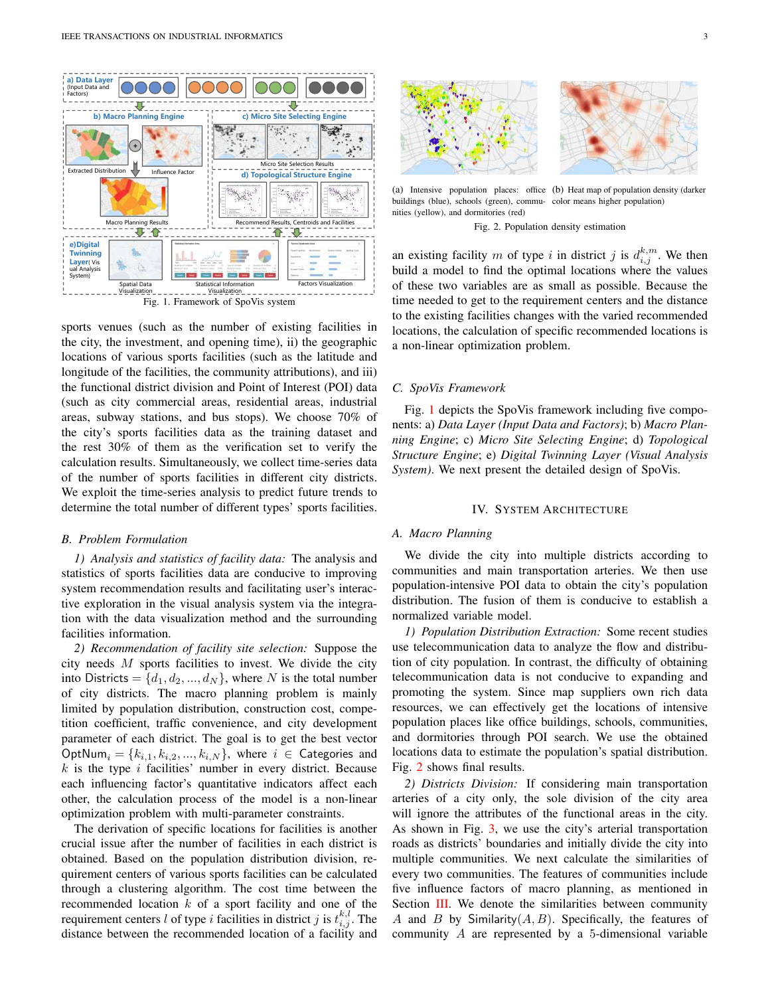<span id="page-2-1"></span>

sports venues (such as the number of existing facilities in the city, the investment, and opening time), ii) the geographic locations of various sports facilities (such as the latitude and longitude of the facilities, the community attributions), and iii) the functional district division and Point of Interest (POI) data (such as city commercial areas, residential areas, industrial areas, subway stations, and bus stops). We choose 70% of the city's sports facilities data as the training dataset and the rest 30% of them as the verification set to verify the calculation results. Simultaneously, we collect time-series data of the number of sports facilities in different city districts. We exploit the time-series analysis to predict future trends to determine the total number of different types' sports facilities.

#### *B. Problem Formulation*

*1) Analysis and statistics of facility data:* The analysis and statistics of sports facilities data are conducive to improving system recommendation results and facilitating user's interactive exploration in the visual analysis system via the integration with the data visualization method and the surrounding facilities information.

*2) Recommendation of facility site selection:* Suppose the city needs  $M$  sports facilities to invest. We divide the city into Districts =  $\{d_1, d_2, ..., d_N\}$ , where N is the total number of city districts. The macro planning problem is mainly limited by population distribution, construction cost, competition coefficient, traffic convenience, and city development parameter of each district. The goal is to get the best vector OptNum<sub>i</sub> = { $k_{i,1}, k_{i,2}, ..., k_{i,N}$ }, where  $i \in$  Categories and  $k$  is the type  $i$  facilities' number in every district. Because each influencing factor's quantitative indicators affect each other, the calculation process of the model is a non-linear optimization problem with multi-parameter constraints.

The derivation of specific locations for facilities is another crucial issue after the number of facilities in each district is obtained. Based on the population distribution division, requirement centers of various sports facilities can be calculated through a clustering algorithm. The cost time between the recommended location  $k$  of a sport facility and one of the requirement centers l of type i facilities in district j is  $t_{i,j}^{k,l}$ . The distance between the recommended location of a facility and



<span id="page-2-2"></span>

(a) Intensive population places: office (b) Heat map of population density (darker buildings (blue), schools (green), commu-color means higher population) nities (yellow), and dormitories (red)

<span id="page-2-3"></span>Fig. 2. Population density estimation

an existing facility m of type i in district j is  $d_{i,j}^{k,m}$ . We then build a model to find the optimal locations where the values of these two variables are as small as possible. Because the time needed to get to the requirement centers and the distance to the existing facilities changes with the varied recommended locations, the calculation of specific recommended locations is a non-linear optimization problem.

#### *C. SpoVis Framework*

Fig. [1](#page-2-1) depicts the SpoVis framework including five components: a) *Data Layer (Input Data and Factors)*; b) *Macro Planning Engine*; c) *Micro Site Selecting Engine*; d) *Topological Structure Engine*; e) *Digital Twinning Layer (Visual Analysis System)*. We next present the detailed design of SpoVis.

#### IV. SYSTEM ARCHITECTURE

#### <span id="page-2-0"></span>*A. Macro Planning*

We divide the city into multiple districts according to communities and main transportation arteries. We then use population-intensive POI data to obtain the city's population distribution. The fusion of them is conducive to establish a normalized variable model.

*1) Population Distribution Extraction:* Some recent studies use telecommunication data to analyze the flow and distribution of city population. In contrast, the difficulty of obtaining telecommunication data is not conducive to expanding and promoting the system. Since map suppliers own rich data resources, we can effectively get the locations of intensive population places like office buildings, schools, communities, and dormitories through POI search. We use the obtained locations data to estimate the population's spatial distribution. Fig. [2](#page-2-2) shows final results.

*2) Districts Division:* If considering main transportation arteries of a city only, the sole division of the city area will ignore the attributes of the functional areas in the city. As shown in Fig. [3,](#page-3-0) we use the city's arterial transportation roads as districts' boundaries and initially divide the city into multiple communities. We next calculate the similarities of every two communities. The features of communities include five influence factors of macro planning, as mentioned in Section [III.](#page-1-1) We denote the similarities between community A and B by Similarity $(A, B)$ . Specifically, the features of community A are represented by a 5-dimensional variable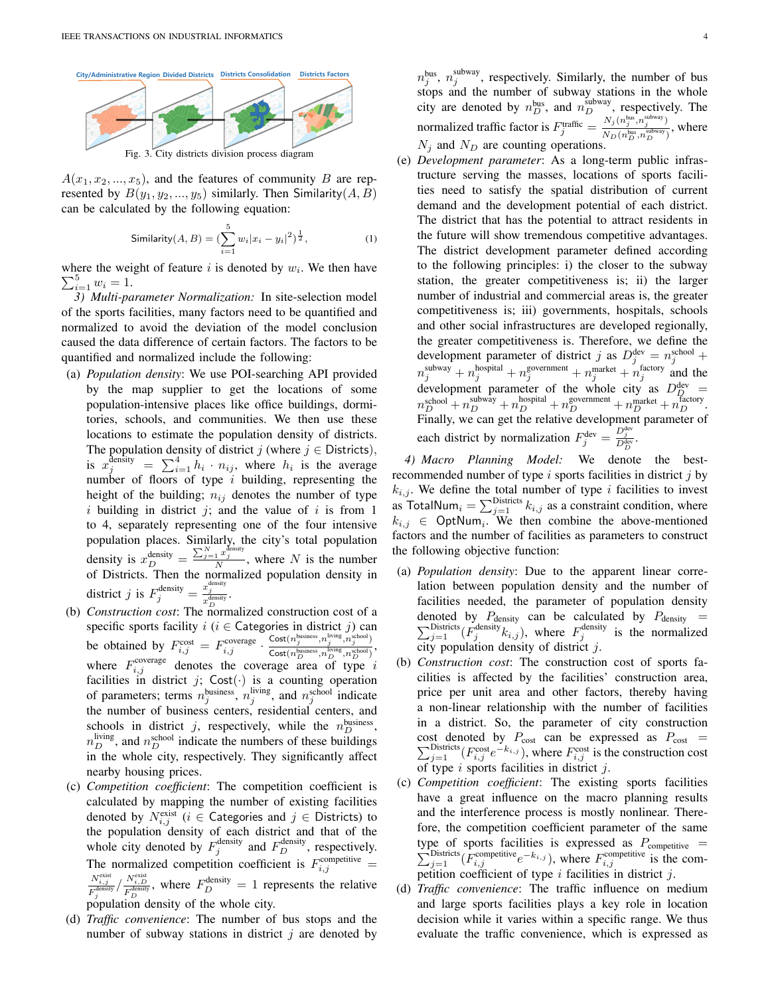<span id="page-3-0"></span>

 $A(x_1, x_2, ..., x_5)$ , and the features of community B are represented by  $B(y_1, y_2, ..., y_5)$  similarly. Then Similarity(A, B) can be calculated by the following equation:

Similarly, 
$$
(A, B) = \left(\sum_{i=1}^{5} w_i |x_i - y_i|^2\right)^{\frac{1}{2}},
$$
 (1)

where the weight of feature  $i$  is denoted by  $w_i$ . We then have  $\sum_{i=1}^{5} w_i = 1.$ 

*3) Multi-parameter Normalization:* In site-selection model of the sports facilities, many factors need to be quantified and normalized to avoid the deviation of the model conclusion caused the data difference of certain factors. The factors to be quantified and normalized include the following:

- (a) *Population density*: We use POI-searching API provided by the map supplier to get the locations of some population-intensive places like office buildings, dormitories, schools, and communities. We then use these locations to estimate the population density of districts. The population density of district j (where  $j \in$  Districts), is  $x_j^{\text{density}} = \sum_{i=1}^4 h_i \cdot n_{ij}$ , where  $h_i$  is the average number of floors of type  $i$  building, representing the height of the building;  $n_{ij}$  denotes the number of type i building in district j; and the value of i is from 1 to 4, separately representing one of the four intensive population places. Similarly, the city's total population density is  $x_D^{\text{density}} = \frac{\sum_{j=1}^{N} x_j^{\text{density}}}{N}$ , where N is the number of Districts. Then the normalized population density in district j is  $F_j^{\text{density}} = \frac{x_j^{\text{density}}}{x_D^{\text{density}}}.$
- (b) *Construction cost*: The normalized construction cost of a specific sports facility  $i$  ( $i \in$  Categories in district  $j$ ) can be obtained by  $F_{i,j}^{\text{cost}} = F_{i,j}^{\text{coverage}}$ .  $\frac{\text{Cost}(n_j^{\text{business}}, n_j^{\text{lying}}, n_j^{\text{smooth}})}{\text{Cost}(n^{\text{business}}, n^{\text{lying}}, n^{\text{school}})}$  $\frac{\cosh(n_j, n_j, n_j)}{\cosh(n_D^{\text{business}}, n_D^{\text{living}}, n_D^{\text{school}})},$ where  $F_{i,j}^{\text{coverage}}$  denotes the coverage area of type i coverage facilities in district j; Cost( $\cdot$ ) is a counting operation of parameters; terms  $n_j^{\text{business}}$ ,  $n_j^{\text{lying}}$ , and  $n_j^{\text{school}}$  indicate the number of business centers, residential centers, and schools in district *j*, respectively, while the  $n_D^{\text{business}}$ ,  $n_D^{\text{ living}}$ , and  $n_D^{\text{school}}$  indicate the numbers of these buildings in the whole city, respectively. They significantly affect nearby housing prices.
- (c) *Competition coefficient*: The competition coefficient is calculated by mapping the number of existing facilities denoted by  $N_{i,j}^{\text{exist}}$   $(i \in \textsf{Categorical} \text{ and } j \in \textsf{Distributions})$  to the population density of each district and that of the whole city denoted by  $F_j^{\text{density}}$  and  $F_D^{\text{density}}$ , respectively. The normalized competition coefficient is  $F_{i,j}^{\text{competitive}} =$  $\frac{N_{i,j}^{\text{exist}}}{F_A^{\text{density}}}$ , where  $F_D^{\text{density}} = 1$  represents the relative population density of the whole city.
- (d) *Traffic convenience*: The number of bus stops and the number of subway stations in district  $j$  are denoted by

 $n_j^{\text{bus}}, n_j^{\text{subway}}$ , respectively. Similarly, the number of bus stops and the number of subway stations in the whole city are denoted by  $n_D^{\text{bus}}$ , and  $n_D^{\text{subway}}$ , respectively. The normalized traffic factor is  $F_j^{\text{traffic}} = \frac{N_j (n_j^{\text{bus}}, n_j^{\text{subway}})}{N_D (n_j^{\text{bus}}, n_j^{\text{subway}})}$  $\frac{N_D(n_j^{\text{bus}}, n_j^{\text{subway}})}{N_D(n_D^{\text{bus}}, n_D^{\text{subway}})}$ , where  $N_i$  and  $N_D$  are counting operations.

(e) *Development parameter*: As a long-term public infrastructure serving the masses, locations of sports facilities need to satisfy the spatial distribution of current demand and the development potential of each district. The district that has the potential to attract residents in the future will show tremendous competitive advantages. The district development parameter defined according to the following principles: i) the closer to the subway station, the greater competitiveness is; ii) the larger number of industrial and commercial areas is, the greater competitiveness is; iii) governments, hospitals, schools and other social infrastructures are developed regionally, the greater competitiveness is. Therefore, we define the development parameter of district j as  $D_j^{\text{dev}} = n_j^{\text{school}} +$  $n_j^{\text{subway}} + n_j^{\text{hospital}} + n_j^{\text{government}} + n_j^{\text{market}} + n_j^{\text{factors}}$  and the development parameter of the whole city as  $D_{p}^{\text{dev}} =$  $n_D^{\text{school}} + n_D^{\text{subway}} + n_D^{\text{bospital}} + n_D^{\text{government}} + n_D^{\text{market}} + n_D^{\text{Tactory}}.$ Finally, we can get the relative development parameter of each district by normalization  $F_j^{\text{dev}} = \frac{D_j^{\text{dev}}}{D_D^{\text{dev}}}$ .

*4) Macro Planning Model:* We denote the bestrecommended number of type  $i$  sports facilities in district  $j$  by  $k_{i,j}$ . We define the total number of type i facilities to invest as TotalNum $_i = \sum_{j=1}^{\text{Distributions}} k_{i,j}$  as a constraint condition, where  $k_{i,j}$   $\in$  OptNum<sub>i</sub>. We then combine the above-mentioned factors and the number of facilities as parameters to construct the following objective function:

- (a) *Population density*: Due to the apparent linear correlation between population density and the number of facilities needed, the parameter of population density denoted by  $P_{\text{density}}$  can be calculated by  $P_{\text{density}} =$  $\sum_{j=1}^{\text{Distributions}} (F_j^{\text{density}} k_{i,j}),$  where  $F_j^{\text{density}}$  is the normalized city population density of district  $j$ .
- (b) *Construction cost*: The construction cost of sports facilities is affected by the facilities' construction area, price per unit area and other factors, thereby having a non-linear relationship with the number of facilities in a district. So, the parameter of city construction cost denoted by  $P_{\text{cost}}$  can be expressed as  $P_{\text{cost}} =$  $\sum_{j=1}^{\text{Disticts}} (F_{i,j}^{\text{cost}} e^{-k_{i,j}})$ , where  $F_{i,j}^{\text{cost}}$  is the construction cost of type  $i$  sports facilities in district  $j$ .
- (c) *Competition coefficient*: The existing sports facilities have a great influence on the macro planning results and the interference process is mostly nonlinear. Therefore, the competition coefficient parameter of the same type of sports facilities is expressed as  $P_{\text{competitive}} =$  $\sum_{j=1}^{\text{Distributions}} (F_{i,j}^{\text{competitive}} e^{-k_{i,j}})$ , where  $F_{i,j}^{\text{competitive}}$  is the competition coefficient of type  $i$  facilities in district  $j$ .
- (d) *Traffic convenience*: The traffic influence on medium and large sports facilities plays a key role in location decision while it varies within a specific range. We thus evaluate the traffic convenience, which is expressed as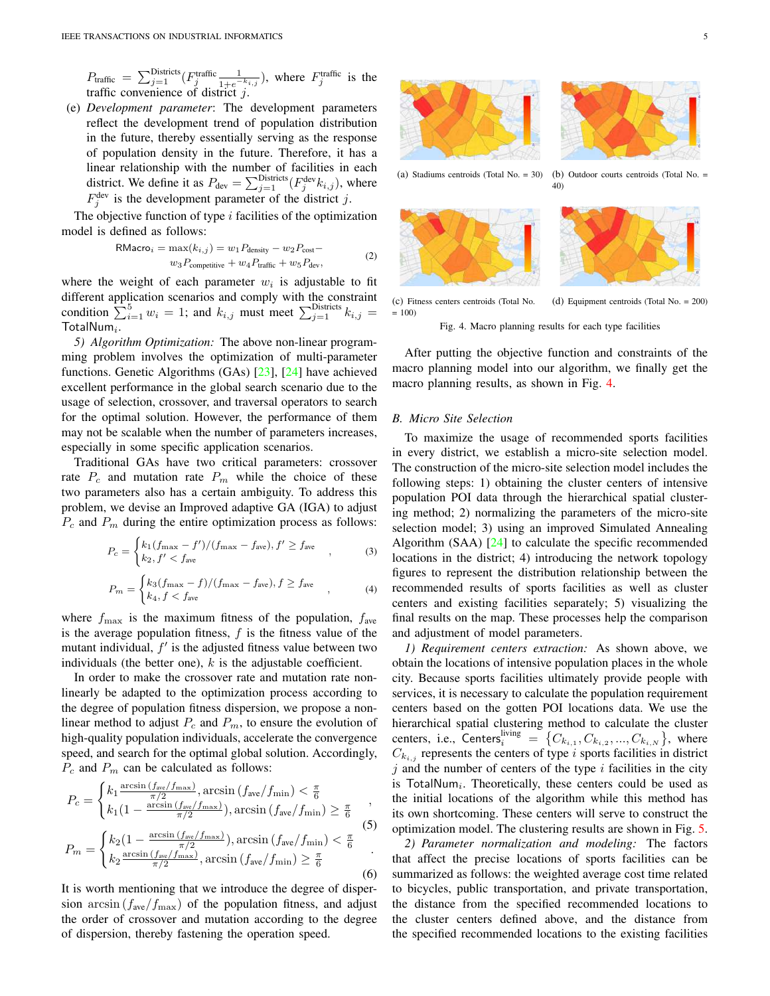$P_{\text{traffic}} = \sum_{j=1}^{\text{Distributions}} (F_j^{\text{traffic}} \frac{1}{1+e^{-j}})$  $\frac{1}{1+e^{-k_{i,j}}},$  where  $F_j^{\text{traffic}}$  is the traffic convenience of district  $j$ .

(e) *Development parameter*: The development parameters reflect the development trend of population distribution in the future, thereby essentially serving as the response of population density in the future. Therefore, it has a linear relationship with the number of facilities in each district. We define it as  $P_{\text{dev}} = \sum_{j=1}^{\text{Distributions}} (F_j^{\text{dev}} k_{i,j}),$  where  $F_j^{\text{dev}}$  is the development parameter of the district j.

The objective function of type  $i$  facilities of the optimization model is defined as follows:

RMacc<sub>i</sub> = max(
$$
k_{i,j}
$$
) =  $w_1 P_{\text{density}} - w_2 P_{\text{cost}} - w_3 P_{\text{competitive}} + w_4 P_{\text{traffic}} + w_5 P_{\text{dev}},$  (2)

where the weight of each parameter  $w_i$  is adjustable to fit different application scenarios and comply with the constraint condition  $\sum_{i=1}^{5} w_i = 1$ ; and  $k_{i,j}$  must meet  $\sum_{j=1}^{\text{Districts}} k_{i,j} =$  $\mathsf{TotalNum}_i.$ 

*5) Algorithm Optimization:* The above non-linear programming problem involves the optimization of multi-parameter functions. Genetic Algorithms (GAs) [\[23\]](#page-9-21), [\[24\]](#page-9-22) have achieved excellent performance in the global search scenario due to the usage of selection, crossover, and traversal operators to search for the optimal solution. However, the performance of them may not be scalable when the number of parameters increases, especially in some specific application scenarios.

Traditional GAs have two critical parameters: crossover rate  $P_c$  and mutation rate  $P_m$  while the choice of these two parameters also has a certain ambiguity. To address this problem, we devise an Improved adaptive GA (IGA) to adjust  $P_c$  and  $P_m$  during the entire optimization process as follows:

$$
P_c = \begin{cases} k_1(f_{\text{max}} - f')/(f_{\text{max}} - f_{\text{ave}}), f' \ge f_{\text{ave}} \\ k_2, f' < f_{\text{ave}} \end{cases} \tag{3}
$$

$$
P_m = \begin{cases} k_3(f_{\text{max}} - f)/(f_{\text{max}} - f_{\text{ave}}), f \ge f_{\text{ave}} \\ k_4, f < f_{\text{ave}} \end{cases} \tag{4}
$$

where  $f_{\text{max}}$  is the maximum fitness of the population,  $f_{\text{ave}}$ is the average population fitness,  $f$  is the fitness value of the mutant individual,  $f'$  is the adjusted fitness value between two individuals (the better one),  $k$  is the adjustable coefficient.

In order to make the crossover rate and mutation rate nonlinearly be adapted to the optimization process according to the degree of population fitness dispersion, we propose a nonlinear method to adjust  $P_c$  and  $P_m$ , to ensure the evolution of high-quality population individuals, accelerate the convergence speed, and search for the optimal global solution. Accordingly,  $P_c$  and  $P_m$  can be calculated as follows:

$$
P_c = \begin{cases} k_1 \frac{\arcsin (f_{\text{ave}}/f_{\text{max}})}{\pi/2}, \arcsin (f_{\text{ave}}/f_{\text{min}}) < \frac{\pi}{6} \\ k_1 (1 - \frac{\arcsin (f_{\text{ave}}/f_{\text{max}})}{\pi/2}), \arcsin (f_{\text{ave}}/f_{\text{min}}) \ge \frac{\pi}{6} \\ k_2 (1 - \frac{\arcsin (f_{\text{ave}}/f_{\text{max}})}{\pi/2}), \arcsin (f_{\text{ave}}/f_{\text{min}}) < \frac{\pi}{6} \\ k_2 \frac{\arcsin (f_{\text{ave}}/f_{\text{max}})}{\pi/2}, \arcsin (f_{\text{ave}}/f_{\text{min}}) \ge \frac{\pi}{6} \end{cases} (5)
$$

$$
-(6)
$$

It is worth mentioning that we introduce the degree of dispersion  $arcsin(f_{ave}/f_{max})$  of the population fitness, and adjust the order of crossover and mutation according to the degree of dispersion, thereby fastening the operation speed.

<span id="page-4-0"></span>

40)



(c) Fitness centers centroids (Total No.  $= 100$ (d) Equipment centroids (Total No. = 200) Fig. 4. Macro planning results for each type facilities

After putting the objective function and constraints of the macro planning model into our algorithm, we finally get the macro planning results, as shown in Fig. [4.](#page-4-0)

## *B. Micro Site Selection*

To maximize the usage of recommended sports facilities in every district, we establish a micro-site selection model. The construction of the micro-site selection model includes the following steps: 1) obtaining the cluster centers of intensive population POI data through the hierarchical spatial clustering method; 2) normalizing the parameters of the micro-site selection model; 3) using an improved Simulated Annealing Algorithm (SAA) [\[24\]](#page-9-22) to calculate the specific recommended locations in the district; 4) introducing the network topology figures to represent the distribution relationship between the recommended results of sports facilities as well as cluster centers and existing facilities separately; 5) visualizing the final results on the map. These processes help the comparison and adjustment of model parameters.

*1) Requirement centers extraction:* As shown above, we obtain the locations of intensive population places in the whole city. Because sports facilities ultimately provide people with services, it is necessary to calculate the population requirement centers based on the gotten POI locations data. We use the hierarchical spatial clustering method to calculate the cluster centers, i.e.,  $\overline{\text{Centers}}_i^{\text{living}} = \{C_{k_{i,1}}, C_{k_{i,2}}, ..., C_{k_{i,N}}\}, \text{ where }$  $C_{k_{i,j}}$  represents the centers of type i sports facilities in district  $j$  and the number of centers of the type  $i$  facilities in the city is TotalNum<sub>i</sub>. Theoretically, these centers could be used as the initial locations of the algorithm while this method has its own shortcoming. These centers will serve to construct the optimization model. The clustering results are shown in Fig. [5.](#page-5-0)

*2) Parameter normalization and modeling:* The factors that affect the precise locations of sports facilities can be summarized as follows: the weighted average cost time related to bicycles, public transportation, and private transportation, the distance from the specified recommended locations to the cluster centers defined above, and the distance from the specified recommended locations to the existing facilities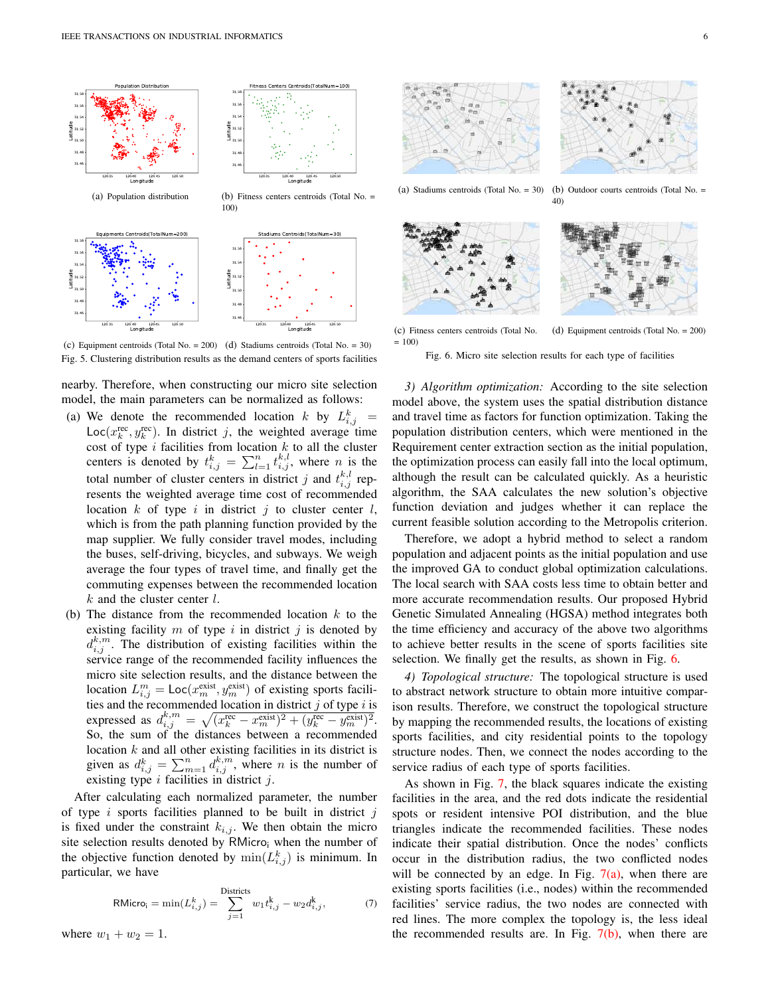<span id="page-5-0"></span>

(c) Equipment centroids (Total No. = 200) (d) Stadiums centroids (Total No. = 30) Fig. 5. Clustering distribution results as the demand centers of sports facilities

nearby. Therefore, when constructing our micro site selection model, the main parameters can be normalized as follows:

- (a) We denote the recommended location k by  $L_{i,j}^k =$  $Loc(x_k^{\text{rec}}, y_k^{\text{rec}})$ . In district j, the weighted average time cost of type  $i$  facilities from location  $k$  to all the cluster centers is denoted by  $t_{i,j}^k = \sum_{l=1}^n t_{i,j}^{k,l}$ , where n is the total number of cluster centers in district j and  $t_{i,j}^{k,l}$  represents the weighted average time cost of recommended location  $k$  of type  $i$  in district  $j$  to cluster center  $l$ , which is from the path planning function provided by the map supplier. We fully consider travel modes, including the buses, self-driving, bicycles, and subways. We weigh average the four types of travel time, and finally get the commuting expenses between the recommended location  $k$  and the cluster center  $l$ .
- (b) The distance from the recommended location  $k$  to the existing facility  $m$  of type  $i$  in district  $j$  is denoted by  $d_{i,j}^{k,m}$ . The distribution of existing facilities within the service range of the recommended facility influences the micro site selection results, and the distance between the location  $L_{i,j}^m = \text{Loc}(x_m^{\text{exist}}, y_m^{\text{exist}})$  of existing sports facilities and the recommended location in district  $j$  of type  $i$  is expressed as  $d_{i,j}^{k,m} = \sqrt{(x_k^{\text{rec}} - x_m^{\text{exist}})^2 + (y_k^{\text{rec}} - y_m^{\text{exist}})^2}.$ So, the sum of the distances between a recommended location  $k$  and all other existing facilities in its district is given as  $d_{i,j}^k = \sum_{m=1}^n d_{i,j}^{k,m}$ , where *n* is the number of existing type  $i$  facilities in district  $j$ .

After calculating each normalized parameter, the number of type  $i$  sports facilities planned to be built in district  $j$ is fixed under the constraint  $k_{i,j}$ . We then obtain the micro site selection results denoted by RMicro; when the number of the objective function denoted by  $\min(L_{i,j}^k)$  is minimum. In particular, we have

$$
\text{RMicro}_{\mathbf{i}} = \min(L_{i,j}^k) = \sum_{j=1}^{\text{Distributions}} w_1 t_{i,j}^k - w_2 d_{i,j}^k,\tag{7}
$$

where  $w_1 + w_2 = 1$ .

<span id="page-5-1"></span>

(a) Stadiums centroids (Total No.  $= 30$ ) (b) Outdoor courts centroids (Total No.  $=$ 40)



(c) Fitness centers centroids (Total No.  $= 100$ (d) Equipment centroids (Total No. = 200)

Fig. 6. Micro site selection results for each type of facilities

*3) Algorithm optimization:* According to the site selection model above, the system uses the spatial distribution distance and travel time as factors for function optimization. Taking the population distribution centers, which were mentioned in the Requirement center extraction section as the initial population, the optimization process can easily fall into the local optimum, although the result can be calculated quickly. As a heuristic algorithm, the SAA calculates the new solution's objective function deviation and judges whether it can replace the current feasible solution according to the Metropolis criterion.

Therefore, we adopt a hybrid method to select a random population and adjacent points as the initial population and use the improved GA to conduct global optimization calculations. The local search with SAA costs less time to obtain better and more accurate recommendation results. Our proposed Hybrid Genetic Simulated Annealing (HGSA) method integrates both the time efficiency and accuracy of the above two algorithms to achieve better results in the scene of sports facilities site selection. We finally get the results, as shown in Fig. [6.](#page-5-1)

*4) Topological structure:* The topological structure is used to abstract network structure to obtain more intuitive comparison results. Therefore, we construct the topological structure by mapping the recommended results, the locations of existing sports facilities, and city residential points to the topology structure nodes. Then, we connect the nodes according to the service radius of each type of sports facilities.

As shown in Fig. [7,](#page-6-0) the black squares indicate the existing facilities in the area, and the red dots indicate the residential spots or resident intensive POI distribution, and the blue triangles indicate the recommended facilities. These nodes indicate their spatial distribution. Once the nodes' conflicts occur in the distribution radius, the two conflicted nodes will be connected by an edge. In Fig.  $7(a)$ , when there are existing sports facilities (i.e., nodes) within the recommended facilities' service radius, the two nodes are connected with red lines. The more complex the topology is, the less ideal the recommended results are. In Fig.  $7(b)$ , when there are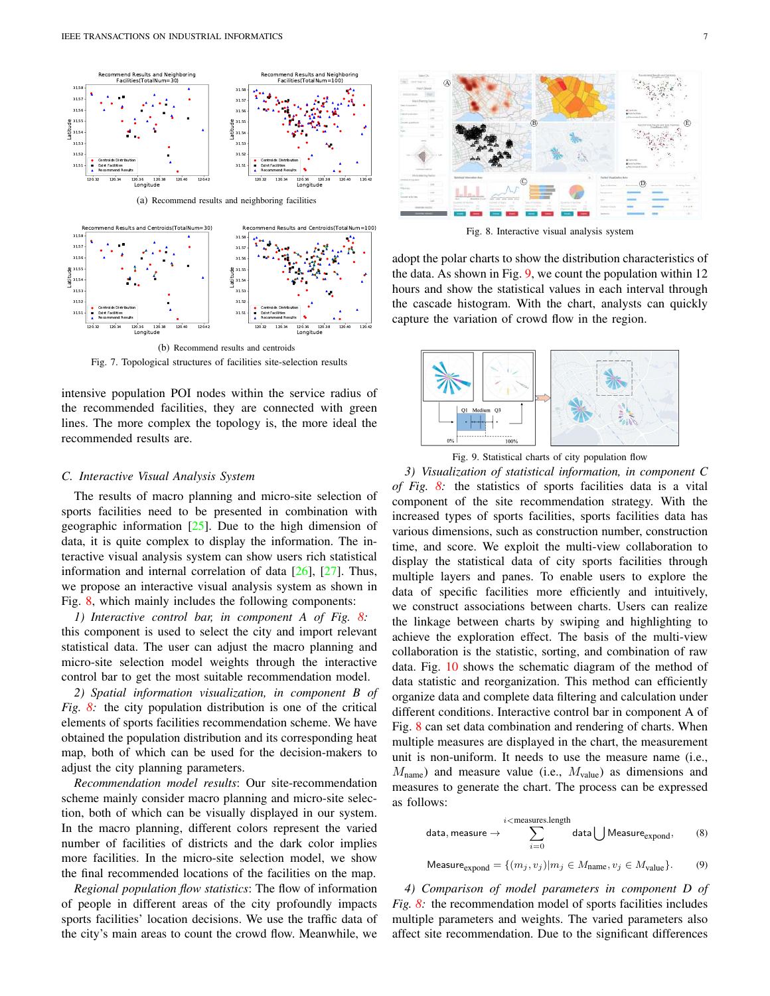<span id="page-6-1"></span><span id="page-6-0"></span>

<span id="page-6-2"></span>Fig. 7. Topological structures of facilities site-selection results

intensive population POI nodes within the service radius of the recommended facilities, they are connected with green lines. The more complex the topology is, the more ideal the recommended results are.

## *C. Interactive Visual Analysis System*

The results of macro planning and micro-site selection of sports facilities need to be presented in combination with geographic information  $[25]$ . Due to the high dimension of data, it is quite complex to display the information. The interactive visual analysis system can show users rich statistical information and internal correlation of data  $[26]$ ,  $[27]$ . Thus, we propose an interactive visual analysis system as shown in Fig. [8,](#page-6-3) which mainly includes the following components:

*1) Interactive control bar, in component A of Fig. [8:](#page-6-3)* this component is used to select the city and import relevant statistical data. The user can adjust the macro planning and micro-site selection model weights through the interactive control bar to get the most suitable recommendation model.

*2) Spatial information visualization, in component B of Fig. [8:](#page-6-3)* the city population distribution is one of the critical elements of sports facilities recommendation scheme. We have obtained the population distribution and its corresponding heat map, both of which can be used for the decision-makers to adjust the city planning parameters.

*Recommendation model results*: Our site-recommendation scheme mainly consider macro planning and micro-site selection, both of which can be visually displayed in our system. In the macro planning, different colors represent the varied number of facilities of districts and the dark color implies more facilities. In the micro-site selection model, we show the final recommended locations of the facilities on the map.

*Regional population flow statistics*: The flow of information of people in different areas of the city profoundly impacts sports facilities' location decisions. We use the traffic data of the city's main areas to count the crowd flow. Meanwhile, we

<span id="page-6-3"></span>

Fig. 8. Interactive visual analysis system

adopt the polar charts to show the distribution characteristics of the data. As shown in Fig. [9,](#page-6-4) we count the population within 12 hours and show the statistical values in each interval through the cascade histogram. With the chart, analysts can quickly capture the variation of crowd flow in the region.

<span id="page-6-4"></span>

Fig. 9. Statistical charts of city population flow

*3) Visualization of statistical information, in component C of Fig. [8:](#page-6-3)* the statistics of sports facilities data is a vital component of the site recommendation strategy. With the increased types of sports facilities, sports facilities data has various dimensions, such as construction number, construction time, and score. We exploit the multi-view collaboration to display the statistical data of city sports facilities through multiple layers and panes. To enable users to explore the data of specific facilities more efficiently and intuitively, we construct associations between charts. Users can realize the linkage between charts by swiping and highlighting to achieve the exploration effect. The basis of the multi-view collaboration is the statistic, sorting, and combination of raw data. Fig. [10](#page-7-1) shows the schematic diagram of the method of data statistic and reorganization. This method can efficiently organize data and complete data filtering and calculation under different conditions. Interactive control bar in component A of Fig. [8](#page-6-3) can set data combination and rendering of charts. When multiple measures are displayed in the chart, the measurement unit is non-uniform. It needs to use the measure name (i.e.,  $M_{\text{name}}$ ) and measure value (i.e.,  $M_{\text{value}}$ ) as dimensions and measures to generate the chart. The process can be expressed as follows:

$$
\text{data, measure} \rightarrow \sum_{i=0}^{i < \text{measures.length}} \text{data} \bigcup \text{Measure}_{\text{expond}}, \qquad (8)
$$

$$
\text{Measure}_{\text{expand}} = \{(m_j, v_j) | m_j \in M_{\text{name}}, v_j \in M_{\text{value}}\}. \tag{9}
$$

*4) Comparison of model parameters in component D of Fig. [8:](#page-6-3)* the recommendation model of sports facilities includes multiple parameters and weights. The varied parameters also affect site recommendation. Due to the significant differences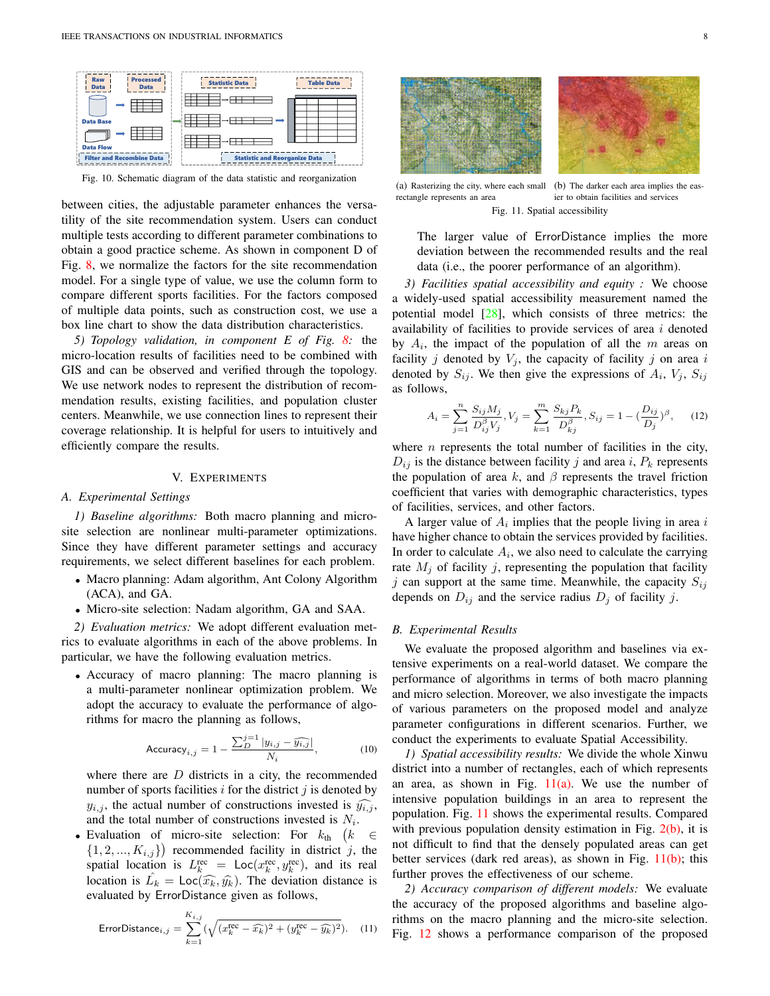<span id="page-7-1"></span>

Fig. 10. Schematic diagram of the data statistic and reorganization

between cities, the adjustable parameter enhances the versatility of the site recommendation system. Users can conduct multiple tests according to different parameter combinations to obtain a good practice scheme. As shown in component D of Fig. [8,](#page-6-3) we normalize the factors for the site recommendation model. For a single type of value, we use the column form to compare different sports facilities. For the factors composed of multiple data points, such as construction cost, we use a box line chart to show the data distribution characteristics.

*5) Topology validation, in component E of Fig. [8:](#page-6-3)* the micro-location results of facilities need to be combined with GIS and can be observed and verified through the topology. We use network nodes to represent the distribution of recommendation results, existing facilities, and population cluster centers. Meanwhile, we use connection lines to represent their coverage relationship. It is helpful for users to intuitively and efficiently compare the results.

## V. EXPERIMENTS

## <span id="page-7-0"></span>*A. Experimental Settings*

*1) Baseline algorithms:* Both macro planning and microsite selection are nonlinear multi-parameter optimizations. Since they have different parameter settings and accuracy requirements, we select different baselines for each problem.

- Macro planning: Adam algorithm, Ant Colony Algorithm (ACA), and GA.
- Micro-site selection: Nadam algorithm, GA and SAA.

*2) Evaluation metrics:* We adopt different evaluation metrics to evaluate algorithms in each of the above problems. In particular, we have the following evaluation metrics.

• Accuracy of macro planning: The macro planning is a multi-parameter nonlinear optimization problem. We adopt the accuracy to evaluate the performance of algorithms for macro the planning as follows,

$$
\text{Accuracy}_{i,j} = 1 - \frac{\sum_{D}^{j=1} |y_{i,j} - \widehat{y_{i,j}}|}{N_i},\tag{10}
$$

where there are  $D$  districts in a city, the recommended number of sports facilities  $i$  for the district  $j$  is denoted by  $y_{i,j}$ , the actual number of constructions invested is  $\widehat{y_{i,j}}$ , and the total number of constructions invested is  $N_i$ .

• Evaluation of micro-site selection: For  $k_{\text{th}}$  ( $k \in$  $\{1, 2, ..., K_{i,j}\}\)$  recommended facility in district j, the spatial location is  $L_k^{\text{rec}} = \text{Loc}(x_k^{\text{rec}}, y_k^{\text{rec}})$ , and its real location is  $\hat{L}_k = \text{Loc}(\widehat{x}_k, \widehat{y}_k)$ . The deviation distance is evaluated by ErrorDistance given as follows evaluated by ErrorDistance given as follows,

$$
\text{ErrorDistance}_{i,j} = \sum_{k=1}^{K_{i,j}} \left( \sqrt{(x_k^{\text{rec}} - \widehat{x_k})^2 + (y_k^{\text{rec}} - \widehat{y_k})^2} \right). \tag{11}
$$

<span id="page-7-3"></span><span id="page-7-2"></span>(a) Rasterizing the city, where each small rectangle represents an area (b) The darker each area implies the easier to obtain facilities and services Fig. 11. Spatial accessibility

<span id="page-7-4"></span>The larger value of ErrorDistance implies the more deviation between the recommended results and the real data (i.e., the poorer performance of an algorithm).

*3) Facilities spatial accessibility and equity :* We choose a widely-used spatial accessibility measurement named the potential model [\[28\]](#page-9-26), which consists of three metrics: the availability of facilities to provide services of area  $i$  denoted by  $A_i$ , the impact of the population of all the  $m$  areas on facility j denoted by  $V_j$ , the capacity of facility j on area i denoted by  $S_{ij}$ . We then give the expressions of  $A_i$ ,  $V_j$ ,  $S_{ij}$ as follows,

$$
A_i = \sum_{j=1}^{n} \frac{S_{ij} M_j}{D_{ij}^{\beta} V_j}, V_j = \sum_{k=1}^{m} \frac{S_{kj} P_k}{D_{kj}^{\beta}}, S_{ij} = 1 - (\frac{D_{ij}}{D_j})^{\beta}, \quad (12)
$$

where  $n$  represents the total number of facilities in the city,  $D_{ij}$  is the distance between facility j and area i,  $P_k$  represents the population of area k, and  $\beta$  represents the travel friction coefficient that varies with demographic characteristics, types of facilities, services, and other factors.

A larger value of  $A_i$  implies that the people living in area i have higher chance to obtain the services provided by facilities. In order to calculate  $A_i$ , we also need to calculate the carrying rate  $M_i$  of facility j, representing the population that facility j can support at the same time. Meanwhile, the capacity  $S_{ij}$ depends on  $D_{ij}$  and the service radius  $D_j$  of facility j.

### *B. Experimental Results*

We evaluate the proposed algorithm and baselines via extensive experiments on a real-world dataset. We compare the performance of algorithms in terms of both macro planning and micro selection. Moreover, we also investigate the impacts of various parameters on the proposed model and analyze parameter configurations in different scenarios. Further, we conduct the experiments to evaluate Spatial Accessibility.

*1) Spatial accessibility results:* We divide the whole Xinwu district into a number of rectangles, each of which represents an area, as shown in Fig.  $11(a)$ . We use the number of intensive population buildings in an area to represent the population. Fig. [11](#page-7-3) shows the experimental results. Compared with previous population density estimation in Fig.  $2(b)$ , it is not difficult to find that the densely populated areas can get better services (dark red areas), as shown in Fig. [11\(b\);](#page-7-4) this further proves the effectiveness of our scheme.

*2) Accuracy comparison of different models:* We evaluate the accuracy of the proposed algorithms and baseline algorithms on the macro planning and the micro-site selection. Fig. [12](#page-8-1) shows a performance comparison of the proposed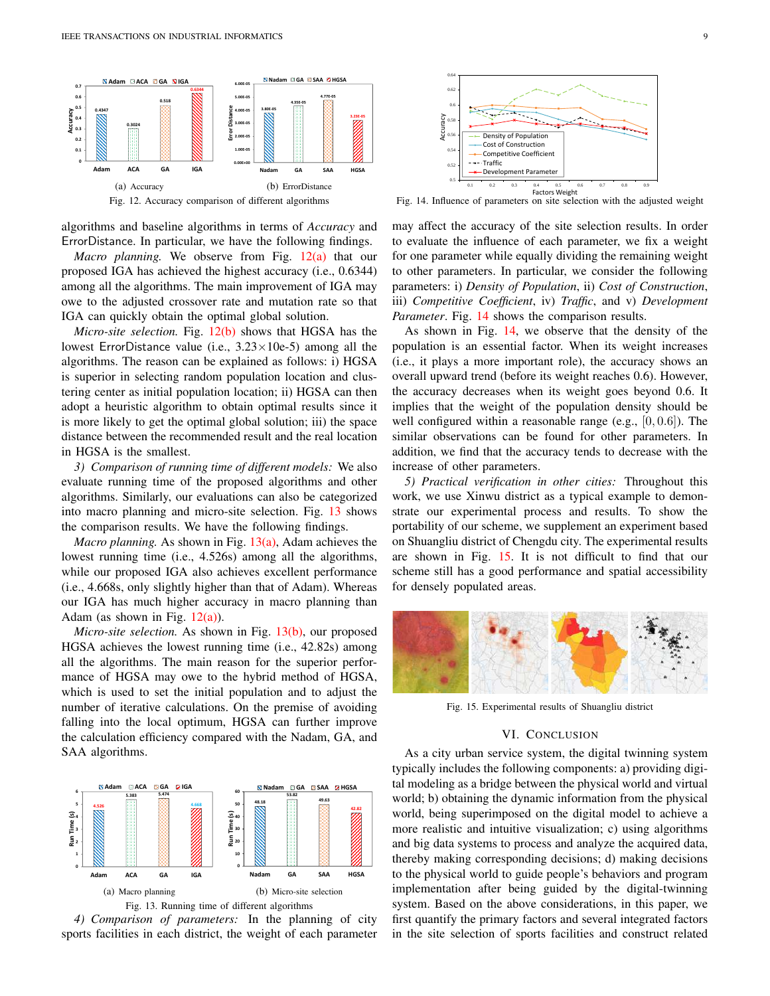<span id="page-8-2"></span><span id="page-8-1"></span>

<span id="page-8-3"></span>algorithms and baseline algorithms in terms of *Accuracy* and ErrorDistance. In particular, we have the following findings.

*Macro planning.* We observe from Fig. [12\(a\)](#page-8-2) that our proposed IGA has achieved the highest accuracy (i.e., 0.6344) among all the algorithms. The main improvement of IGA may owe to the adjusted crossover rate and mutation rate so that IGA can quickly obtain the optimal global solution.

*Micro-site selection.* Fig. [12\(b\)](#page-8-3) shows that HGSA has the lowest ErrorDistance value (i.e.,  $3.23 \times 10e-5$ ) among all the algorithms. The reason can be explained as follows: i) HGSA is superior in selecting random population location and clustering center as initial population location; ii) HGSA can then adopt a heuristic algorithm to obtain optimal results since it is more likely to get the optimal global solution; iii) the space distance between the recommended result and the real location in HGSA is the smallest.

*3) Comparison of running time of different models:* We also evaluate running time of the proposed algorithms and other algorithms. Similarly, our evaluations can also be categorized into macro planning and micro-site selection. Fig. [13](#page-8-4) shows the comparison results. We have the following findings.

*Macro planning.* As shown in Fig. [13\(a\),](#page-8-5) Adam achieves the lowest running time (i.e., 4.526s) among all the algorithms, while our proposed IGA also achieves excellent performance (i.e., 4.668s, only slightly higher than that of Adam). Whereas our IGA has much higher accuracy in macro planning than Adam (as shown in Fig.  $12(a)$ ).

*Micro-site selection.* As shown in Fig. [13\(b\),](#page-8-6) our proposed HGSA achieves the lowest running time (i.e., 42.82s) among all the algorithms. The main reason for the superior performance of HGSA may owe to the hybrid method of HGSA, which is used to set the initial population and to adjust the number of iterative calculations. On the premise of avoiding falling into the local optimum, HGSA can further improve the calculation efficiency compared with the Nadam, GA, and SAA algorithms.

<span id="page-8-5"></span><span id="page-8-4"></span>

<span id="page-8-6"></span>*4) Comparison of parameters:* In the planning of city sports facilities in each district, the weight of each parameter

<span id="page-8-7"></span>

Fig. 14. Influence of parameters on site selection with the adjusted weight

may affect the accuracy of the site selection results. In order to evaluate the influence of each parameter, we fix a weight for one parameter while equally dividing the remaining weight to other parameters. In particular, we consider the following parameters: i) *Density of Population*, ii) *Cost of Construction*, iii) *Competitive Coefficient*, iv) *Traffic*, and v) *Development Parameter*. Fig. [14](#page-8-7) shows the comparison results.

As shown in Fig. [14,](#page-8-7) we observe that the density of the population is an essential factor. When its weight increases (i.e., it plays a more important role), the accuracy shows an overall upward trend (before its weight reaches 0.6). However, the accuracy decreases when its weight goes beyond 0.6. It implies that the weight of the population density should be well configured within a reasonable range (e.g.,  $[0, 0.6]$ ). The similar observations can be found for other parameters. In addition, we find that the accuracy tends to decrease with the increase of other parameters.

*5) Practical verification in other cities:* Throughout this work, we use Xinwu district as a typical example to demonstrate our experimental process and results. To show the portability of our scheme, we supplement an experiment based on Shuangliu district of Chengdu city. The experimental results are shown in Fig. [15.](#page-8-8) It is not difficult to find that our scheme still has a good performance and spatial accessibility for densely populated areas.

<span id="page-8-8"></span>

Fig. 15. Experimental results of Shuangliu district

## VI. CONCLUSION

<span id="page-8-0"></span>As a city urban service system, the digital twinning system typically includes the following components: a) providing digital modeling as a bridge between the physical world and virtual world; b) obtaining the dynamic information from the physical world, being superimposed on the digital model to achieve a more realistic and intuitive visualization; c) using algorithms and big data systems to process and analyze the acquired data, thereby making corresponding decisions; d) making decisions to the physical world to guide people's behaviors and program implementation after being guided by the digital-twinning system. Based on the above considerations, in this paper, we first quantify the primary factors and several integrated factors in the site selection of sports facilities and construct related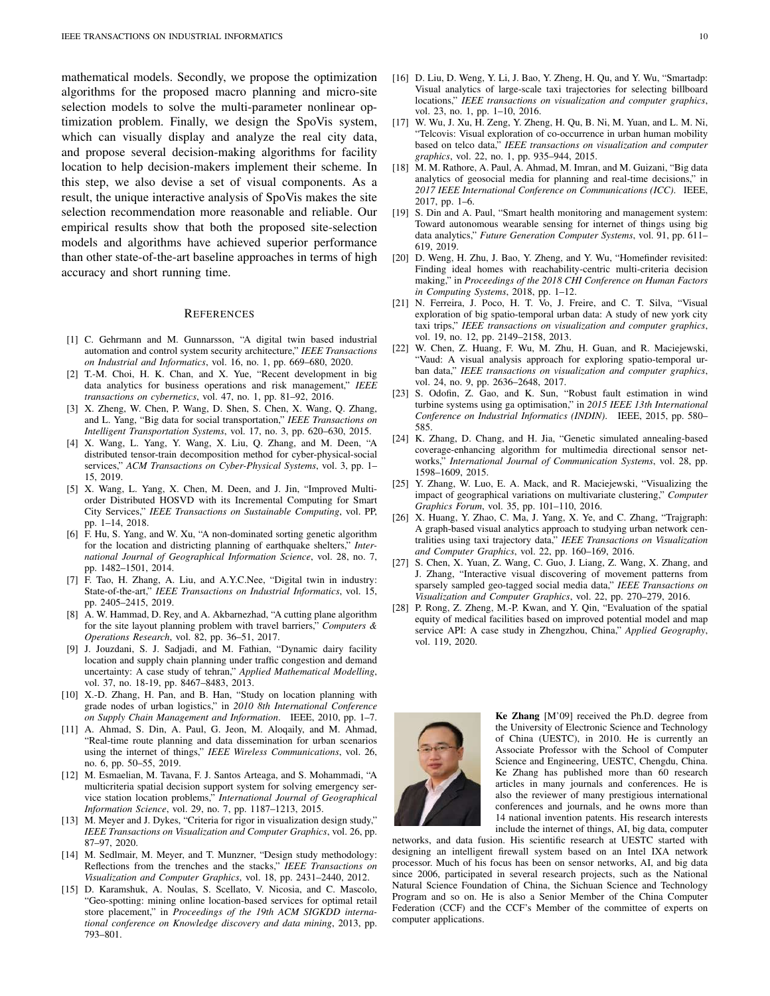mathematical models. Secondly, we propose the optimization algorithms for the proposed macro planning and micro-site selection models to solve the multi-parameter nonlinear optimization problem. Finally, we design the SpoVis system, which can visually display and analyze the real city data, and propose several decision-making algorithms for facility location to help decision-makers implement their scheme. In this step, we also devise a set of visual components. As a result, the unique interactive analysis of SpoVis makes the site selection recommendation more reasonable and reliable. Our empirical results show that both the proposed site-selection models and algorithms have achieved superior performance than other state-of-the-art baseline approaches in terms of high accuracy and short running time.

#### **REFERENCES**

- <span id="page-9-0"></span>[1] C. Gehrmann and M. Gunnarsson, "A digital twin based industrial automation and control system security architecture," *IEEE Transactions on Industrial and Informatics*, vol. 16, no. 1, pp. 669–680, 2020.
- <span id="page-9-1"></span>[2] T.-M. Choi, H. K. Chan, and X. Yue, "Recent development in big data analytics for business operations and risk management," *IEEE transactions on cybernetics*, vol. 47, no. 1, pp. 81–92, 2016.
- <span id="page-9-7"></span>[3] X. Zheng, W. Chen, P. Wang, D. Shen, S. Chen, X. Wang, Q. Zhang, and L. Yang, "Big data for social transportation," *IEEE Transactions on Intelligent Transportation Systems*, vol. 17, no. 3, pp. 620–630, 2015.
- [4] X. Wang, L. Yang, Y. Wang, X. Liu, Q. Zhang, and M. Deen, "A distributed tensor-train decomposition method for cyber-physical-social services," *ACM Transactions on Cyber-Physical Systems*, vol. 3, pp. 1– 15, 2019.
- <span id="page-9-2"></span>[5] X. Wang, L. Yang, X. Chen, M. Deen, and J. Jin, "Improved Multiorder Distributed HOSVD with its Incremental Computing for Smart City Services," *IEEE Transactions on Sustainable Computing*, vol. PP, pp. 1–14, 2018.
- <span id="page-9-3"></span>[6] F. Hu, S. Yang, and W. Xu, "A non-dominated sorting genetic algorithm for the location and districting planning of earthquake shelters," *International Journal of Geographical Information Science*, vol. 28, no. 7, pp. 1482–1501, 2014.
- <span id="page-9-4"></span>[7] F. Tao, H. Zhang, A. Liu, and A.Y.C.Nee, "Digital twin in industry: State-of-the-art," *IEEE Transactions on Industrial Informatics*, vol. 15, pp. 2405–2415, 2019.
- <span id="page-9-5"></span>[8] A. W. Hammad, D. Rey, and A. Akbarnezhad, "A cutting plane algorithm for the site layout planning problem with travel barriers," *Computers & Operations Research*, vol. 82, pp. 36–51, 2017.
- <span id="page-9-12"></span>[9] J. Jouzdani, S. J. Sadjadi, and M. Fathian, "Dynamic dairy facility location and supply chain planning under traffic congestion and demand uncertainty: A case study of tehran," *Applied Mathematical Modelling*, vol. 37, no. 18-19, pp. 8467–8483, 2013.
- <span id="page-9-13"></span>[10] X.-D. Zhang, H. Pan, and B. Han, "Study on location planning with grade nodes of urban logistics," in *2010 8th International Conference on Supply Chain Management and Information*. IEEE, 2010, pp. 1–7.
- <span id="page-9-14"></span>[11] A. Ahmad, S. Din, A. Paul, G. Jeon, M. Aloqaily, and M. Ahmad, "Real-time route planning and data dissemination for urban scenarios using the internet of things," *IEEE Wireless Communications*, vol. 26, no. 6, pp. 50–55, 2019.
- <span id="page-9-6"></span>[12] M. Esmaelian, M. Tavana, F. J. Santos Arteaga, and S. Mohammadi, "A multicriteria spatial decision support system for solving emergency service station location problems," *International Journal of Geographical Information Science*, vol. 29, no. 7, pp. 1187–1213, 2015.
- <span id="page-9-8"></span>[13] M. Meyer and J. Dykes, "Criteria for rigor in visualization design study," *IEEE Transactions on Visualization and Computer Graphics*, vol. 26, pp. 87–97, 2020.
- <span id="page-9-9"></span>[14] M. Sedlmair, M. Meyer, and T. Munzner, "Design study methodology: Reflections from the trenches and the stacks," *IEEE Transactions on Visualization and Computer Graphics*, vol. 18, pp. 2431–2440, 2012.
- <span id="page-9-10"></span>[15] D. Karamshuk, A. Noulas, S. Scellato, V. Nicosia, and C. Mascolo, "Geo-spotting: mining online location-based services for optimal retail store placement," in *Proceedings of the 19th ACM SIGKDD international conference on Knowledge discovery and data mining*, 2013, pp. 793–801.
- <span id="page-9-15"></span>[16] D. Liu, D. Weng, Y. Li, J. Bao, Y. Zheng, H. Qu, and Y. Wu, "Smartadp: Visual analytics of large-scale taxi trajectories for selecting billboard locations," *IEEE transactions on visualization and computer graphics*, vol. 23, no. 1, pp. 1–10, 2016.
- <span id="page-9-16"></span>[17] W. Wu, J. Xu, H. Zeng, Y. Zheng, H. Qu, B. Ni, M. Yuan, and L. M. Ni, "Telcovis: Visual exploration of co-occurrence in urban human mobility based on telco data," *IEEE transactions on visualization and computer graphics*, vol. 22, no. 1, pp. 935–944, 2015.
- <span id="page-9-17"></span>[18] M. M. Rathore, A. Paul, A. Ahmad, M. Imran, and M. Guizani, "Big data analytics of geosocial media for planning and real-time decisions," in *2017 IEEE International Conference on Communications (ICC)*. IEEE, 2017, pp. 1–6.
- <span id="page-9-18"></span>[19] S. Din and A. Paul, "Smart health monitoring and management system: Toward autonomous wearable sensing for internet of things using big data analytics," *Future Generation Computer Systems*, vol. 91, pp. 611– 619, 2019.
- <span id="page-9-19"></span>[20] D. Weng, H. Zhu, J. Bao, Y. Zheng, and Y. Wu, "Homefinder revisited: Finding ideal homes with reachability-centric multi-criteria decision making," in *Proceedings of the 2018 CHI Conference on Human Factors in Computing Systems*, 2018, pp. 1–12.
- <span id="page-9-11"></span>[21] N. Ferreira, J. Poco, H. T. Vo, J. Freire, and C. T. Silva, "Visual exploration of big spatio-temporal urban data: A study of new york city taxi trips," *IEEE transactions on visualization and computer graphics*, vol. 19, no. 12, pp. 2149–2158, 2013.
- <span id="page-9-20"></span>[22] W. Chen, Z. Huang, F. Wu, M. Zhu, H. Guan, and R. Maciejewski, "Vaud: A visual analysis approach for exploring spatio-temporal urban data," *IEEE transactions on visualization and computer graphics*, vol. 24, no. 9, pp. 2636–2648, 2017.
- <span id="page-9-21"></span>[23] S. Odofin, Z. Gao, and K. Sun, "Robust fault estimation in wind turbine systems using ga optimisation," in *2015 IEEE 13th International Conference on Industrial Informatics (INDIN)*. IEEE, 2015, pp. 580– 585.
- <span id="page-9-22"></span>[24] K. Zhang, D. Chang, and H. Jia, "Genetic simulated annealing-based coverage-enhancing algorithm for multimedia directional sensor networks," *International Journal of Communication Systems*, vol. 28, pp. 1598–1609, 2015.
- <span id="page-9-23"></span>[25] Y. Zhang, W. Luo, E. A. Mack, and R. Maciejewski, "Visualizing the impact of geographical variations on multivariate clustering," *Computer Graphics Forum*, vol. 35, pp. 101–110, 2016.
- <span id="page-9-24"></span>[26] X. Huang, Y. Zhao, C. Ma, J. Yang, X. Ye, and C. Zhang, "Trajgraph: A graph-based visual analytics approach to studying urban network centralities using taxi trajectory data," *IEEE Transactions on Visualization and Computer Graphics*, vol. 22, pp. 160–169, 2016.
- <span id="page-9-25"></span>[27] S. Chen, X. Yuan, Z. Wang, C. Guo, J. Liang, Z. Wang, X. Zhang, and J. Zhang, "Interactive visual discovering of movement patterns from sparsely sampled geo-tagged social media data," *IEEE Transactions on Visualization and Computer Graphics*, vol. 22, pp. 270–279, 2016.
- <span id="page-9-26"></span>[28] P. Rong, Z. Zheng, M.-P. Kwan, and Y. Qin, "Evaluation of the spatial equity of medical facilities based on improved potential model and map service API: A case study in Zhengzhou, China," *Applied Geography*, vol. 119, 2020.



Ke Zhang [M'09] received the Ph.D. degree from the University of Electronic Science and Technology of China (UESTC), in 2010. He is currently an Associate Professor with the School of Computer Science and Engineering, UESTC, Chengdu, China. Ke Zhang has published more than 60 research articles in many journals and conferences. He is also the reviewer of many prestigious international conferences and journals, and he owns more than 14 national invention patents. His research interests include the internet of things, AI, big data, computer

networks, and data fusion. His scientific research at UESTC started with designing an intelligent firewall system based on an Intel IXA network processor. Much of his focus has been on sensor networks, AI, and big data since 2006, participated in several research projects, such as the National Natural Science Foundation of China, the Sichuan Science and Technology Program and so on. He is also a Senior Member of the China Computer Federation (CCF) and the CCF's Member of the committee of experts on computer applications.